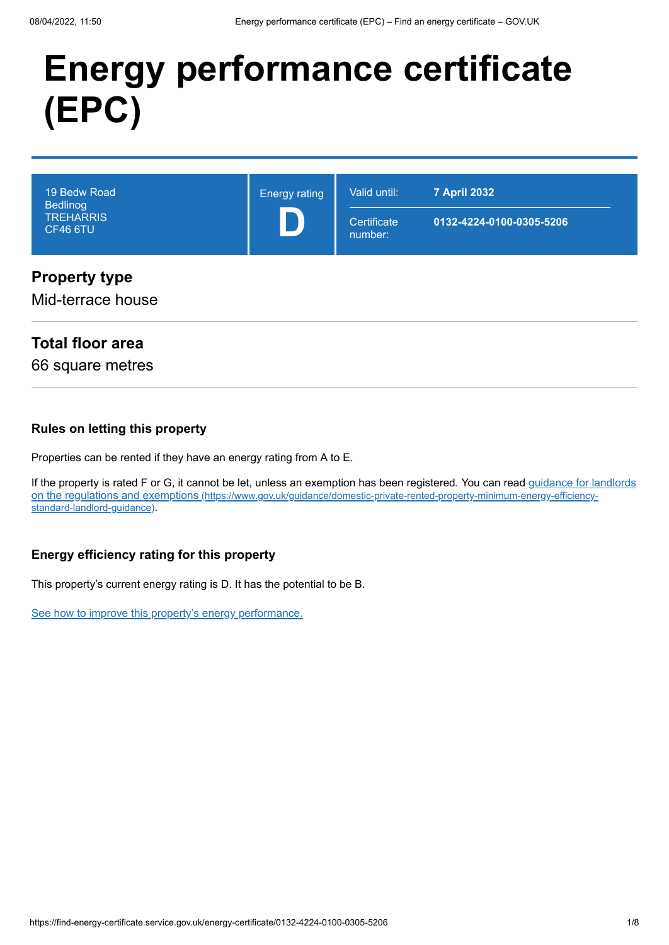# **Energy performance certificate (EPC)**

| 19 Bedw Road<br><b>Bedlinog</b><br><b>TREHARRIS</b><br>CF46 6TU | <b>Energy rating</b> | Valid until:<br>Certificate<br>number: | <b>7 April 2032</b><br>0132-4224-0100-0305-5206 |
|-----------------------------------------------------------------|----------------------|----------------------------------------|-------------------------------------------------|
| <b>Property type</b><br>Mid-terrace house                       |                      |                                        |                                                 |

#### **Total floor area**

66 square metres

#### **Rules on letting this property**

Properties can be rented if they have an energy rating from A to E.

[If the property is rated F or G, it cannot be let, unless an exemption has been registered. You can read guidance for landlords](https://www.gov.uk/guidance/domestic-private-rented-property-minimum-energy-efficiency-standard-landlord-guidance) on the regulations and exemptions (https://www.gov.uk/guidance/domestic-private-rented-property-minimum-energy-efficiencystandard-landlord-guidance).

#### **Energy efficiency rating for this property**

This property's current energy rating is D. It has the potential to be B.

[See how to improve this property's energy performance.](#page-3-0)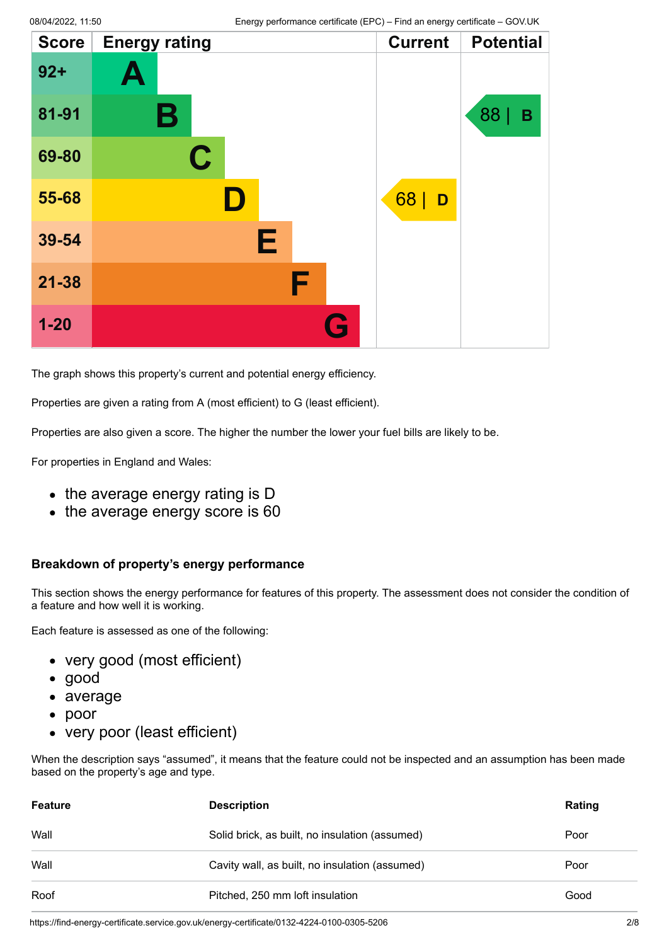| <b>Score</b> | <b>Energy rating</b> | <b>Current</b> | <b>Potential</b> |
|--------------|----------------------|----------------|------------------|
| $92+$        | Ą                    |                |                  |
| 81-91        | Β                    |                | 88<br>B          |
| 69-80        | $\mathbf C$          |                |                  |
| 55-68        |                      | 68<br>D        |                  |
| 39-54        | Е                    |                |                  |
| $21 - 38$    | F                    |                |                  |
| $1 - 20$     | Q                    |                |                  |

The graph shows this property's current and potential energy efficiency.

Properties are given a rating from A (most efficient) to G (least efficient).

Properties are also given a score. The higher the number the lower your fuel bills are likely to be.

For properties in England and Wales:

- the average energy rating is D
- the average energy score is 60

#### **Breakdown of property's energy performance**

This section shows the energy performance for features of this property. The assessment does not consider the condition of a feature and how well it is working.

Each feature is assessed as one of the following:

- very good (most efficient)
- good
- average
- poor
- very poor (least efficient)

When the description says "assumed", it means that the feature could not be inspected and an assumption has been made based on the property's age and type.

| <b>Feature</b> | <b>Description</b>                             | Rating |
|----------------|------------------------------------------------|--------|
| Wall           | Solid brick, as built, no insulation (assumed) | Poor   |
| Wall           | Cavity wall, as built, no insulation (assumed) | Poor   |
| Roof           | Pitched, 250 mm loft insulation                | Good   |

https://find-energy-certificate.service.gov.uk/energy-certificate/0132-4224-0100-0305-5206 2/8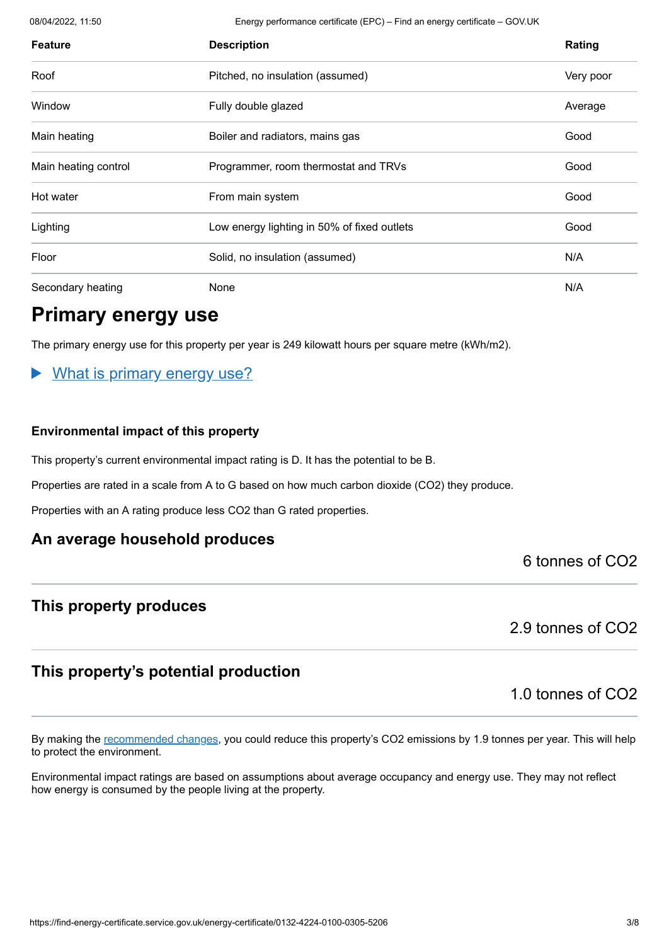08/04/2022, 11:50 Energy performance certificate (EPC) – Find an energy certificate – GOV.UK

| <b>Feature</b>       | <b>Description</b>                          | Rating    |
|----------------------|---------------------------------------------|-----------|
| Roof                 | Pitched, no insulation (assumed)            | Very poor |
| Window               | Fully double glazed                         | Average   |
| Main heating         | Boiler and radiators, mains gas             | Good      |
| Main heating control | Programmer, room thermostat and TRVs        | Good      |
| Hot water            | From main system                            | Good      |
| Lighting             | Low energy lighting in 50% of fixed outlets | Good      |
| Floor                | Solid, no insulation (assumed)              | N/A       |
| Secondary heating    | None                                        | N/A       |

### **Primary energy use**

The primary energy use for this property per year is 249 kilowatt hours per square metre (kWh/m2).

#### What is primary energy use?

#### **Environmental impact of this property**

This property's current environmental impact rating is D. It has the potential to be B.

Properties are rated in a scale from A to G based on how much carbon dioxide (CO2) they produce.

Properties with an A rating produce less CO2 than G rated properties.

#### **An average household produces**

6 tonnes of CO2

#### **This property produces**

2.9 tonnes of CO2

#### **This property's potential production**

1.0 tonnes of CO2

By making the [recommended changes](#page-3-0), you could reduce this property's CO2 emissions by 1.9 tonnes per year. This will help to protect the environment.

Environmental impact ratings are based on assumptions about average occupancy and energy use. They may not reflect how energy is consumed by the people living at the property.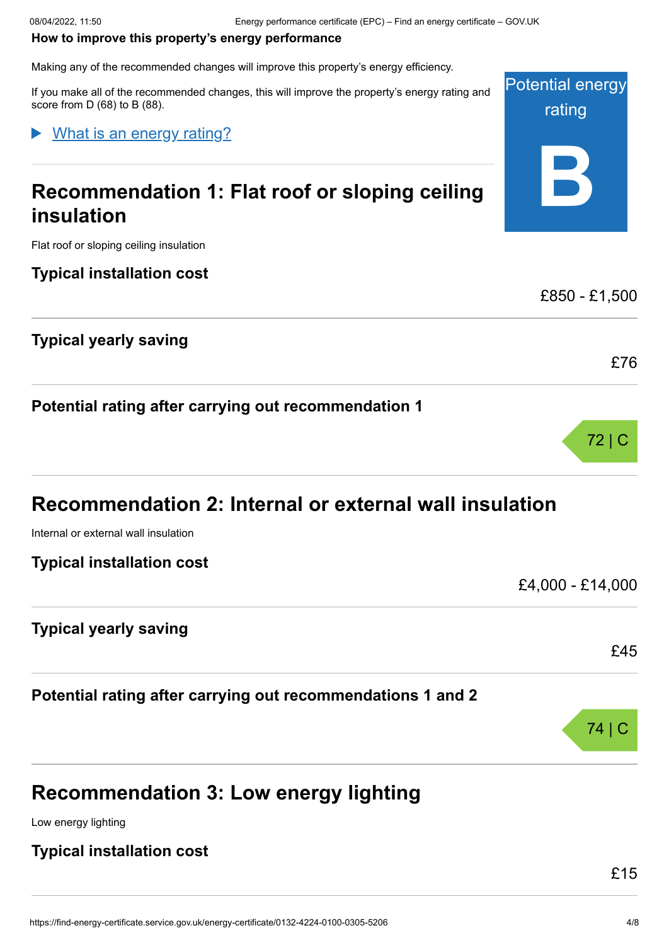Potential energy

rating

**B**

£850 - £1,500

£76

72 | C

£4,000 - £14,000

#### <span id="page-3-0"></span>**How to improve this property's energy performance**

Making any of the recommended changes will improve this property's energy efficiency.

If you make all of the recommended changes, this will improve the property's energy rating and score from D (68) to B (88).

#### What is an energy rating?

# **Recommendation 1: Flat roof or sloping ceiling insulation**

Flat roof or sloping ceiling insulation

#### **Typical installation cost**

#### **Typical yearly saving**

**Potential rating after carrying out recommendation 1**

# **Recommendation 2: Internal or external wall insulation**

Internal or external wall insulation

#### **Typical installation cost**

**Typical yearly saving**

#### **Potential rating after carrying out recommendations 1 and 2**

# **Recommendation 3: Low energy lighting**

Low energy lighting

#### **Typical installation cost**

£45

74 | C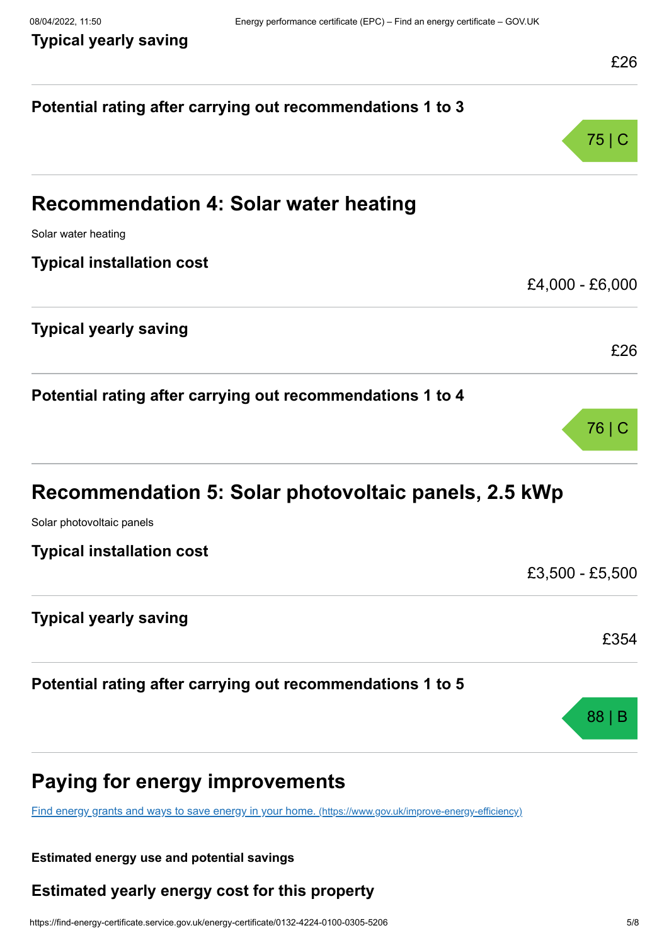**Typical yearly saving**

| Potential rating after carrying out recommendations 1 to 3                                              |                 |
|---------------------------------------------------------------------------------------------------------|-----------------|
|                                                                                                         | 75 C            |
| <b>Recommendation 4: Solar water heating</b>                                                            |                 |
| Solar water heating                                                                                     |                 |
| <b>Typical installation cost</b>                                                                        |                 |
|                                                                                                         | £4,000 - £6,000 |
| <b>Typical yearly saving</b>                                                                            |                 |
|                                                                                                         | £26             |
| Potential rating after carrying out recommendations 1 to 4                                              |                 |
|                                                                                                         | 76 C            |
| Recommendation 5: Solar photovoltaic panels, 2.5 kWp                                                    |                 |
| Solar photovoltaic panels                                                                               |                 |
| <b>Typical installation cost</b>                                                                        |                 |
|                                                                                                         | £3,500 - £5,500 |
| <b>Typical yearly saving</b>                                                                            |                 |
|                                                                                                         | £354            |
| Potential rating after carrying out recommendations 1 to 5                                              |                 |
|                                                                                                         | 88 <sup>1</sup> |
| Paying for energy improvements                                                                          |                 |
| Find energy grants and ways to save energy in your home. (https://www.gov.uk/improve-energy-efficiency) |                 |

#### **Estimated energy use and potential savings**

### **Estimated yearly energy cost for this property**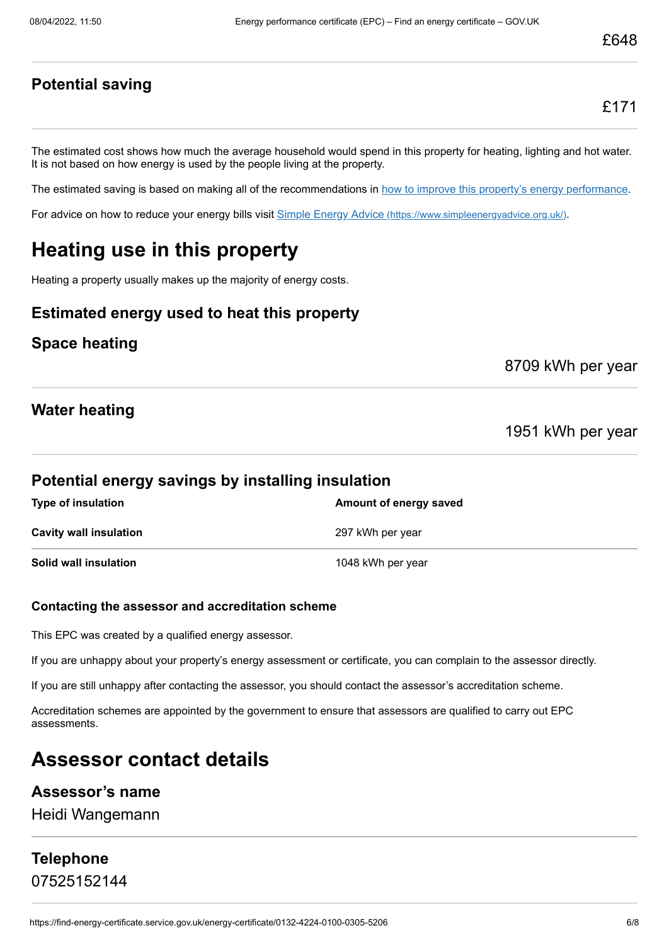#### **Potential saving**

£171

The estimated cost shows how much the average household would spend in this property for heating, lighting and hot water. It is not based on how energy is used by the people living at the property.

The estimated saving is based on making all of the recommendations in [how to improve this property's energy performance.](#page-3-0)

For advice on how to reduce your energy bills visit Simple Energy Advice [\(https://www.simpleenergyadvice.org.uk/\)](https://www.simpleenergyadvice.org.uk/).

# **Heating use in this property**

Heating a property usually makes up the majority of energy costs.

#### **Estimated energy used to heat this property**

#### **Space heating**

8709 kWh per year

#### **Water heating**

1951 kWh per year

#### **Potential energy savings by installing insulation**

| <b>Type of insulation</b>     | Amount of energy saved |
|-------------------------------|------------------------|
| <b>Cavity wall insulation</b> | 297 kWh per year       |
| Solid wall insulation         | 1048 kWh per year      |

#### **Contacting the assessor and accreditation scheme**

This EPC was created by a qualified energy assessor.

If you are unhappy about your property's energy assessment or certificate, you can complain to the assessor directly.

If you are still unhappy after contacting the assessor, you should contact the assessor's accreditation scheme.

Accreditation schemes are appointed by the government to ensure that assessors are qualified to carry out EPC assessments.

### **Assessor contact details**

#### **Assessor's name**

Heidi Wangemann

#### **Telephone** 07525152144